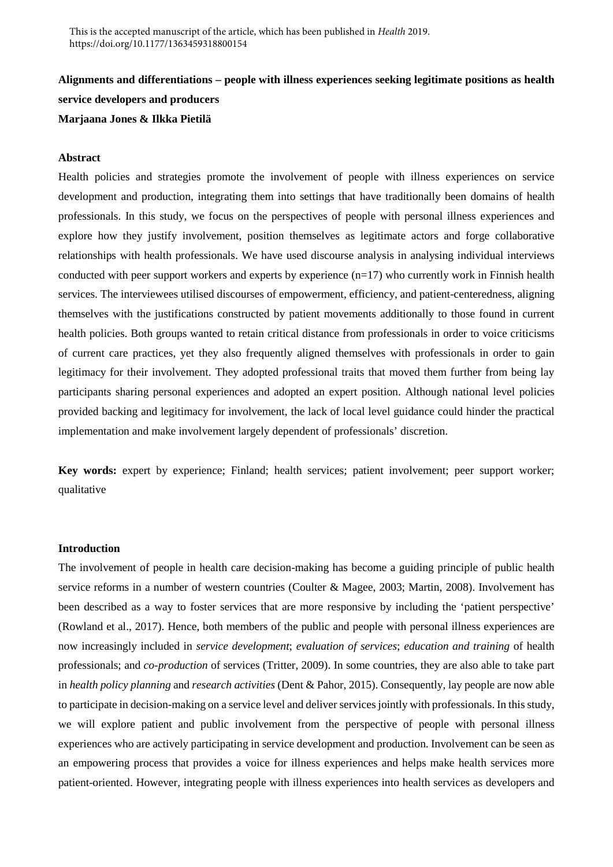# **Alignments and differentiations – people with illness experiences seeking legitimate positions as health service developers and producers Marjaana Jones & Ilkka Pietilä**

#### **Abstract**

Health policies and strategies promote the involvement of people with illness experiences on service development and production, integrating them into settings that have traditionally been domains of health professionals. In this study, we focus on the perspectives of people with personal illness experiences and explore how they justify involvement, position themselves as legitimate actors and forge collaborative relationships with health professionals. We have used discourse analysis in analysing individual interviews conducted with peer support workers and experts by experience  $(n=17)$  who currently work in Finnish health services. The interviewees utilised discourses of empowerment, efficiency, and patient-centeredness, aligning themselves with the justifications constructed by patient movements additionally to those found in current health policies. Both groups wanted to retain critical distance from professionals in order to voice criticisms of current care practices, yet they also frequently aligned themselves with professionals in order to gain legitimacy for their involvement. They adopted professional traits that moved them further from being lay participants sharing personal experiences and adopted an expert position. Although national level policies provided backing and legitimacy for involvement, the lack of local level guidance could hinder the practical implementation and make involvement largely dependent of professionals' discretion.

**Key words:** expert by experience; Finland; health services; patient involvement; peer support worker; qualitative

#### **Introduction**

The involvement of people in health care decision-making has become a guiding principle of public health service reforms in a number of western countries (Coulter & Magee, 2003; Martin, 2008). Involvement has been described as a way to foster services that are more responsive by including the 'patient perspective' (Rowland et al., 2017). Hence, both members of the public and people with personal illness experiences are now increasingly included in *service development*; *evaluation of services*; *education and training* of health professionals; and *co-production* of services (Tritter, 2009). In some countries, they are also able to take part in *health policy planning* and *research activities* (Dent & Pahor, 2015). Consequently, lay people are now able to participate in decision-making on a service level and deliver services jointly with professionals. In this study, we will explore patient and public involvement from the perspective of people with personal illness experiences who are actively participating in service development and production. Involvement can be seen as an empowering process that provides a voice for illness experiences and helps make health services more patient-oriented. However, integrating people with illness experiences into health services as developers and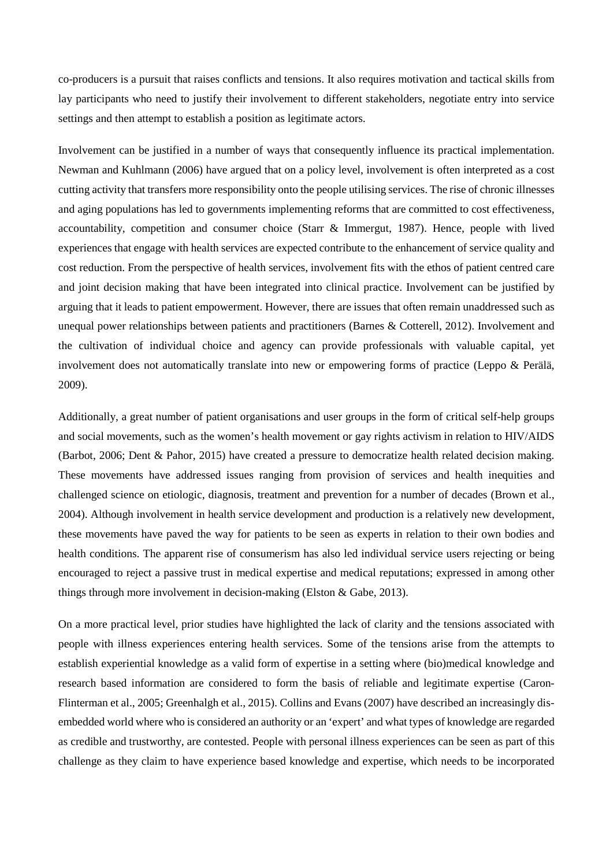co-producers is a pursuit that raises conflicts and tensions. It also requires motivation and tactical skills from lay participants who need to justify their involvement to different stakeholders, negotiate entry into service settings and then attempt to establish a position as legitimate actors.

Involvement can be justified in a number of ways that consequently influence its practical implementation. Newman and Kuhlmann (2006) have argued that on a policy level, involvement is often interpreted as a cost cutting activity that transfers more responsibility onto the people utilising services. The rise of chronic illnesses and aging populations has led to governments implementing reforms that are committed to cost effectiveness, accountability, competition and consumer choice (Starr & Immergut, 1987). Hence, people with lived experiences that engage with health services are expected contribute to the enhancement of service quality and cost reduction. From the perspective of health services, involvement fits with the ethos of patient centred care and joint decision making that have been integrated into clinical practice. Involvement can be justified by arguing that it leads to patient empowerment. However, there are issues that often remain unaddressed such as unequal power relationships between patients and practitioners (Barnes & Cotterell, 2012). Involvement and the cultivation of individual choice and agency can provide professionals with valuable capital, yet involvement does not automatically translate into new or empowering forms of practice (Leppo & Perälä, 2009).

Additionally, a great number of patient organisations and user groups in the form of critical self-help groups and social movements, such as the women's health movement or gay rights activism in relation to HIV/AIDS (Barbot, 2006; Dent & Pahor, 2015) have created a pressure to democratize health related decision making. These movements have addressed issues ranging from provision of services and health inequities and challenged science on etiologic, diagnosis, treatment and prevention for a number of decades (Brown et al., 2004). Although involvement in health service development and production is a relatively new development, these movements have paved the way for patients to be seen as experts in relation to their own bodies and health conditions. The apparent rise of consumerism has also led individual service users rejecting or being encouraged to reject a passive trust in medical expertise and medical reputations; expressed in among other things through more involvement in decision-making (Elston & Gabe, 2013).

On a more practical level, prior studies have highlighted the lack of clarity and the tensions associated with people with illness experiences entering health services. Some of the tensions arise from the attempts to establish experiential knowledge as a valid form of expertise in a setting where (bio)medical knowledge and research based information are considered to form the basis of reliable and legitimate expertise (Caron-Flinterman et al., 2005; Greenhalgh et al., 2015). Collins and Evans (2007) have described an increasingly disembedded world where who is considered an authority or an 'expert' and what types of knowledge are regarded as credible and trustworthy, are contested. People with personal illness experiences can be seen as part of this challenge as they claim to have experience based knowledge and expertise, which needs to be incorporated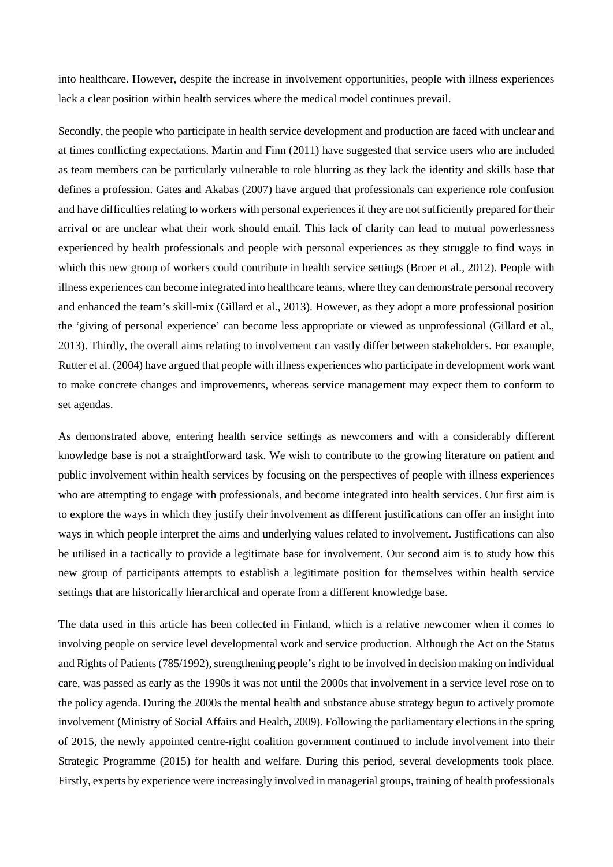into healthcare. However, despite the increase in involvement opportunities, people with illness experiences lack a clear position within health services where the medical model continues prevail.

Secondly, the people who participate in health service development and production are faced with unclear and at times conflicting expectations. Martin and Finn (2011) have suggested that service users who are included as team members can be particularly vulnerable to role blurring as they lack the identity and skills base that defines a profession. Gates and Akabas (2007) have argued that professionals can experience role confusion and have difficulties relating to workers with personal experiences if they are not sufficiently prepared for their arrival or are unclear what their work should entail. This lack of clarity can lead to mutual powerlessness experienced by health professionals and people with personal experiences as they struggle to find ways in which this new group of workers could contribute in health service settings (Broer et al., 2012). People with illness experiences can become integrated into healthcare teams, where they can demonstrate personal recovery and enhanced the team's skill-mix (Gillard et al., 2013). However, as they adopt a more professional position the 'giving of personal experience' can become less appropriate or viewed as unprofessional (Gillard et al., 2013). Thirdly, the overall aims relating to involvement can vastly differ between stakeholders. For example, Rutter et al. (2004) have argued that people with illness experiences who participate in development work want to make concrete changes and improvements, whereas service management may expect them to conform to set agendas.

As demonstrated above, entering health service settings as newcomers and with a considerably different knowledge base is not a straightforward task. We wish to contribute to the growing literature on patient and public involvement within health services by focusing on the perspectives of people with illness experiences who are attempting to engage with professionals, and become integrated into health services. Our first aim is to explore the ways in which they justify their involvement as different justifications can offer an insight into ways in which people interpret the aims and underlying values related to involvement. Justifications can also be utilised in a tactically to provide a legitimate base for involvement. Our second aim is to study how this new group of participants attempts to establish a legitimate position for themselves within health service settings that are historically hierarchical and operate from a different knowledge base.

The data used in this article has been collected in Finland, which is a relative newcomer when it comes to involving people on service level developmental work and service production. Although the Act on the Status and Rights of Patients (785/1992), strengthening people's right to be involved in decision making on individual care, was passed as early as the 1990s it was not until the 2000s that involvement in a service level rose on to the policy agenda. During the 2000s the mental health and substance abuse strategy begun to actively promote involvement (Ministry of Social Affairs and Health, 2009). Following the parliamentary elections in the spring of 2015, the newly appointed centre-right coalition government continued to include involvement into their Strategic Programme (2015) for health and welfare. During this period, several developments took place. Firstly, experts by experience were increasingly involved in managerial groups, training of health professionals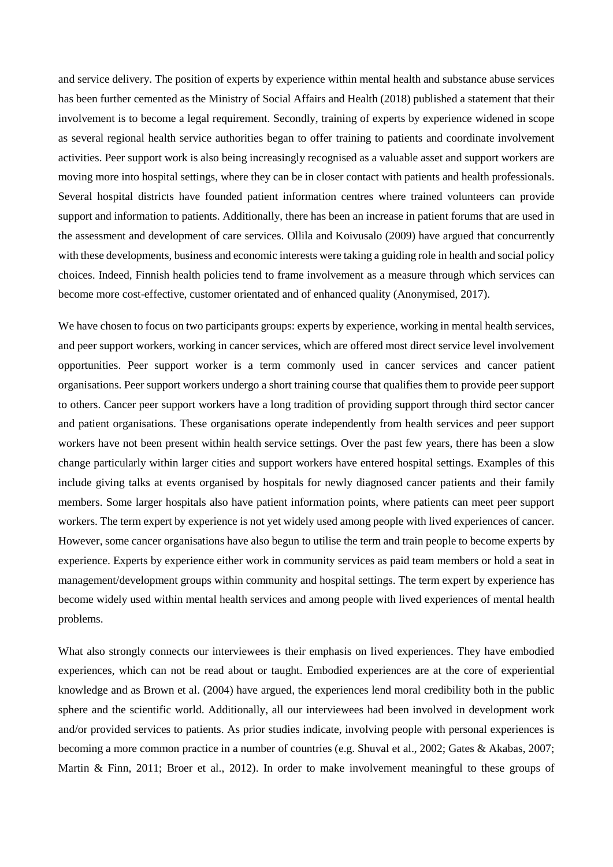and service delivery. The position of experts by experience within mental health and substance abuse services has been further cemented as the Ministry of Social Affairs and Health (2018) published a statement that their involvement is to become a legal requirement. Secondly, training of experts by experience widened in scope as several regional health service authorities began to offer training to patients and coordinate involvement activities. Peer support work is also being increasingly recognised as a valuable asset and support workers are moving more into hospital settings, where they can be in closer contact with patients and health professionals. Several hospital districts have founded patient information centres where trained volunteers can provide support and information to patients. Additionally, there has been an increase in patient forums that are used in the assessment and development of care services. Ollila and Koivusalo (2009) have argued that concurrently with these developments, business and economic interests were taking a guiding role in health and social policy choices. Indeed, Finnish health policies tend to frame involvement as a measure through which services can become more cost-effective, customer orientated and of enhanced quality (Anonymised, 2017).

We have chosen to focus on two participants groups: experts by experience, working in mental health services, and peer support workers, working in cancer services, which are offered most direct service level involvement opportunities. Peer support worker is a term commonly used in cancer services and cancer patient organisations. Peer support workers undergo a short training course that qualifies them to provide peer support to others. Cancer peer support workers have a long tradition of providing support through third sector cancer and patient organisations. These organisations operate independently from health services and peer support workers have not been present within health service settings. Over the past few years, there has been a slow change particularly within larger cities and support workers have entered hospital settings. Examples of this include giving talks at events organised by hospitals for newly diagnosed cancer patients and their family members. Some larger hospitals also have patient information points, where patients can meet peer support workers. The term expert by experience is not yet widely used among people with lived experiences of cancer. However, some cancer organisations have also begun to utilise the term and train people to become experts by experience. Experts by experience either work in community services as paid team members or hold a seat in management/development groups within community and hospital settings. The term expert by experience has become widely used within mental health services and among people with lived experiences of mental health problems.

What also strongly connects our interviewees is their emphasis on lived experiences. They have embodied experiences, which can not be read about or taught. Embodied experiences are at the core of experiential knowledge and as Brown et al. (2004) have argued, the experiences lend moral credibility both in the public sphere and the scientific world. Additionally, all our interviewees had been involved in development work and/or provided services to patients. As prior studies indicate, involving people with personal experiences is becoming a more common practice in a number of countries (e.g. Shuval et al., 2002; Gates & Akabas, 2007; Martin & Finn, 2011; Broer et al., 2012). In order to make involvement meaningful to these groups of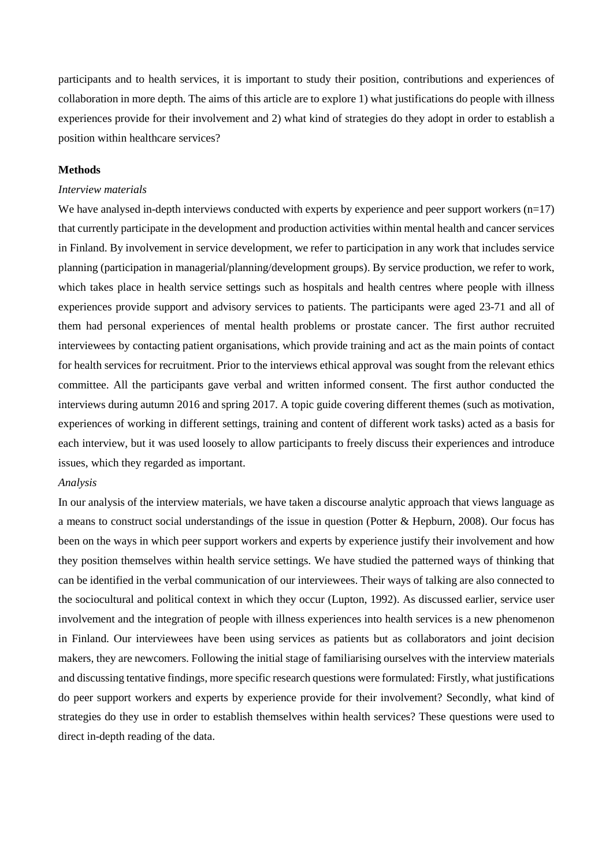participants and to health services, it is important to study their position, contributions and experiences of collaboration in more depth. The aims of this article are to explore 1) what justifications do people with illness experiences provide for their involvement and 2) what kind of strategies do they adopt in order to establish a position within healthcare services?

#### **Methods**

#### *Interview materials*

We have analysed in-depth interviews conducted with experts by experience and peer support workers  $(n=17)$ that currently participate in the development and production activities within mental health and cancer services in Finland. By involvement in service development, we refer to participation in any work that includes service planning (participation in managerial/planning/development groups). By service production, we refer to work, which takes place in health service settings such as hospitals and health centres where people with illness experiences provide support and advisory services to patients. The participants were aged 23-71 and all of them had personal experiences of mental health problems or prostate cancer. The first author recruited interviewees by contacting patient organisations, which provide training and act as the main points of contact for health services for recruitment. Prior to the interviews ethical approval was sought from the relevant ethics committee. All the participants gave verbal and written informed consent. The first author conducted the interviews during autumn 2016 and spring 2017. A topic guide covering different themes (such as motivation, experiences of working in different settings, training and content of different work tasks) acted as a basis for each interview, but it was used loosely to allow participants to freely discuss their experiences and introduce issues, which they regarded as important.

#### *Analysis*

In our analysis of the interview materials, we have taken a discourse analytic approach that views language as a means to construct social understandings of the issue in question (Potter & Hepburn, 2008). Our focus has been on the ways in which peer support workers and experts by experience justify their involvement and how they position themselves within health service settings. We have studied the patterned ways of thinking that can be identified in the verbal communication of our interviewees. Their ways of talking are also connected to the sociocultural and political context in which they occur (Lupton, 1992). As discussed earlier, service user involvement and the integration of people with illness experiences into health services is a new phenomenon in Finland. Our interviewees have been using services as patients but as collaborators and joint decision makers, they are newcomers. Following the initial stage of familiarising ourselves with the interview materials and discussing tentative findings, more specific research questions were formulated: Firstly, what justifications do peer support workers and experts by experience provide for their involvement? Secondly, what kind of strategies do they use in order to establish themselves within health services? These questions were used to direct in-depth reading of the data.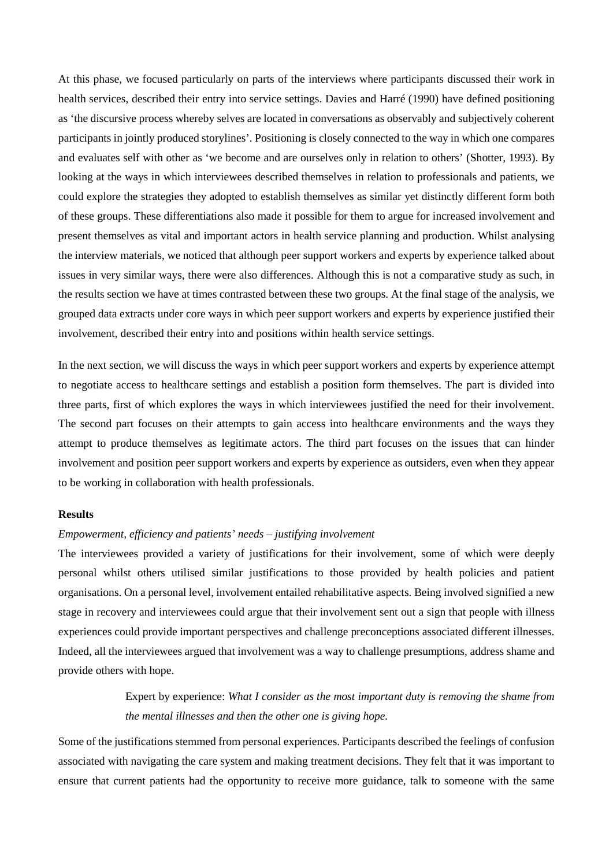At this phase, we focused particularly on parts of the interviews where participants discussed their work in health services, described their entry into service settings. Davies and Harré (1990) have defined positioning as 'the discursive process whereby selves are located in conversations as observably and subjectively coherent participants in jointly produced storylines'. Positioning is closely connected to the way in which one compares and evaluates self with other as 'we become and are ourselves only in relation to others' (Shotter, 1993). By looking at the ways in which interviewees described themselves in relation to professionals and patients, we could explore the strategies they adopted to establish themselves as similar yet distinctly different form both of these groups. These differentiations also made it possible for them to argue for increased involvement and present themselves as vital and important actors in health service planning and production. Whilst analysing the interview materials, we noticed that although peer support workers and experts by experience talked about issues in very similar ways, there were also differences. Although this is not a comparative study as such, in the results section we have at times contrasted between these two groups. At the final stage of the analysis, we grouped data extracts under core ways in which peer support workers and experts by experience justified their involvement, described their entry into and positions within health service settings.

In the next section, we will discuss the ways in which peer support workers and experts by experience attempt to negotiate access to healthcare settings and establish a position form themselves. The part is divided into three parts, first of which explores the ways in which interviewees justified the need for their involvement. The second part focuses on their attempts to gain access into healthcare environments and the ways they attempt to produce themselves as legitimate actors. The third part focuses on the issues that can hinder involvement and position peer support workers and experts by experience as outsiders, even when they appear to be working in collaboration with health professionals.

### **Results**

#### *Empowerment, efficiency and patients' needs – justifying involvement*

The interviewees provided a variety of justifications for their involvement, some of which were deeply personal whilst others utilised similar justifications to those provided by health policies and patient organisations. On a personal level, involvement entailed rehabilitative aspects. Being involved signified a new stage in recovery and interviewees could argue that their involvement sent out a sign that people with illness experiences could provide important perspectives and challenge preconceptions associated different illnesses. Indeed, all the interviewees argued that involvement was a way to challenge presumptions, address shame and provide others with hope.

> Expert by experience: *What I consider as the most important duty is removing the shame from the mental illnesses and then the other one is giving hope.*

Some of the justifications stemmed from personal experiences. Participants described the feelings of confusion associated with navigating the care system and making treatment decisions. They felt that it was important to ensure that current patients had the opportunity to receive more guidance, talk to someone with the same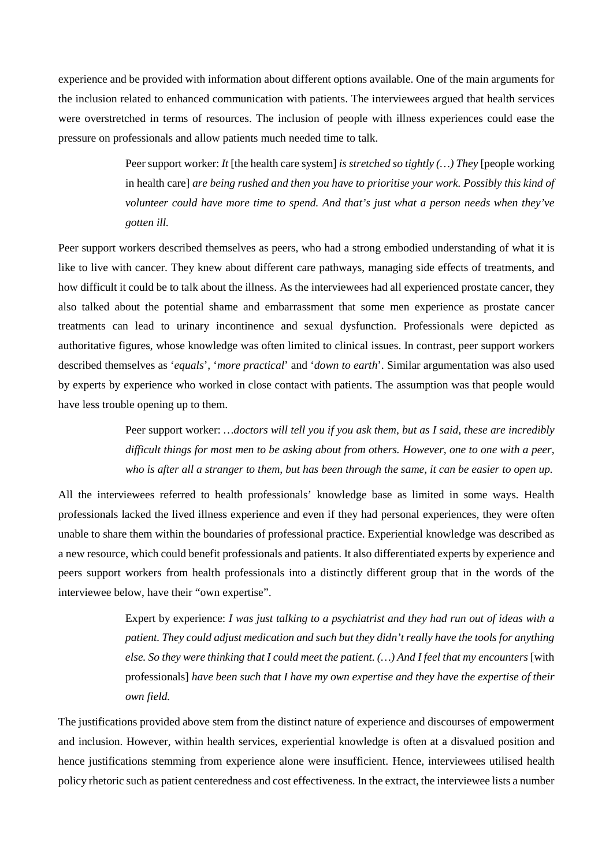experience and be provided with information about different options available. One of the main arguments for the inclusion related to enhanced communication with patients. The interviewees argued that health services were overstretched in terms of resources. The inclusion of people with illness experiences could ease the pressure on professionals and allow patients much needed time to talk.

> Peer support worker: *It* [the health care system] *is stretched so tightly (…) They* [people working in health care] *are being rushed and then you have to prioritise your work. Possibly this kind of volunteer could have more time to spend. And that's just what a person needs when they've gotten ill.*

Peer support workers described themselves as peers, who had a strong embodied understanding of what it is like to live with cancer. They knew about different care pathways, managing side effects of treatments, and how difficult it could be to talk about the illness. As the interviewees had all experienced prostate cancer, they also talked about the potential shame and embarrassment that some men experience as prostate cancer treatments can lead to urinary incontinence and sexual dysfunction. Professionals were depicted as authoritative figures, whose knowledge was often limited to clinical issues. In contrast, peer support workers described themselves as '*equals*', '*more practical*' and '*down to earth*'. Similar argumentation was also used by experts by experience who worked in close contact with patients. The assumption was that people would have less trouble opening up to them.

> Peer support worker: *…doctors will tell you if you ask them, but as I said, these are incredibly difficult things for most men to be asking about from others. However, one to one with a peer, who is after all a stranger to them, but has been through the same, it can be easier to open up.*

All the interviewees referred to health professionals' knowledge base as limited in some ways. Health professionals lacked the lived illness experience and even if they had personal experiences, they were often unable to share them within the boundaries of professional practice. Experiential knowledge was described as a new resource, which could benefit professionals and patients. It also differentiated experts by experience and peers support workers from health professionals into a distinctly different group that in the words of the interviewee below, have their "own expertise".

> Expert by experience: *I was just talking to a psychiatrist and they had run out of ideas with a patient. They could adjust medication and such but they didn't really have the tools for anything else. So they were thinking that I could meet the patient. (...) And I feel that my encounters* [with professionals] *have been such that I have my own expertise and they have the expertise of their own field.*

The justifications provided above stem from the distinct nature of experience and discourses of empowerment and inclusion. However, within health services, experiential knowledge is often at a disvalued position and hence justifications stemming from experience alone were insufficient. Hence, interviewees utilised health policy rhetoric such as patient centeredness and cost effectiveness. In the extract, the interviewee lists a number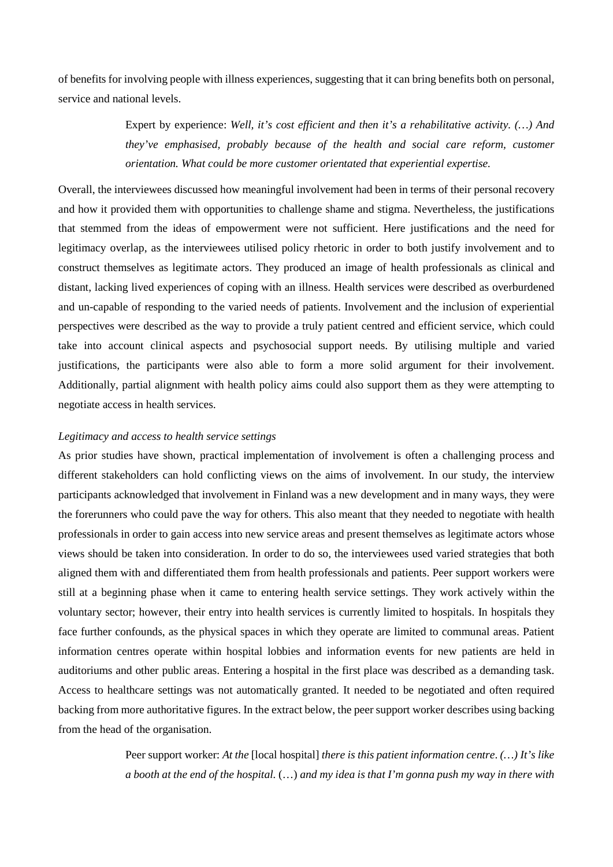of benefits for involving people with illness experiences, suggesting that it can bring benefits both on personal, service and national levels.

> Expert by experience: *Well, it's cost efficient and then it's a rehabilitative activity. (…) And they've emphasised, probably because of the health and social care reform, customer orientation. What could be more customer orientated that experiential expertise.*

Overall, the interviewees discussed how meaningful involvement had been in terms of their personal recovery and how it provided them with opportunities to challenge shame and stigma. Nevertheless, the justifications that stemmed from the ideas of empowerment were not sufficient. Here justifications and the need for legitimacy overlap, as the interviewees utilised policy rhetoric in order to both justify involvement and to construct themselves as legitimate actors. They produced an image of health professionals as clinical and distant, lacking lived experiences of coping with an illness. Health services were described as overburdened and un-capable of responding to the varied needs of patients. Involvement and the inclusion of experiential perspectives were described as the way to provide a truly patient centred and efficient service, which could take into account clinical aspects and psychosocial support needs. By utilising multiple and varied justifications, the participants were also able to form a more solid argument for their involvement. Additionally, partial alignment with health policy aims could also support them as they were attempting to negotiate access in health services.

#### *Legitimacy and access to health service settings*

As prior studies have shown, practical implementation of involvement is often a challenging process and different stakeholders can hold conflicting views on the aims of involvement. In our study, the interview participants acknowledged that involvement in Finland was a new development and in many ways, they were the forerunners who could pave the way for others. This also meant that they needed to negotiate with health professionals in order to gain access into new service areas and present themselves as legitimate actors whose views should be taken into consideration. In order to do so, the interviewees used varied strategies that both aligned them with and differentiated them from health professionals and patients. Peer support workers were still at a beginning phase when it came to entering health service settings. They work actively within the voluntary sector; however, their entry into health services is currently limited to hospitals. In hospitals they face further confounds, as the physical spaces in which they operate are limited to communal areas. Patient information centres operate within hospital lobbies and information events for new patients are held in auditoriums and other public areas. Entering a hospital in the first place was described as a demanding task. Access to healthcare settings was not automatically granted. It needed to be negotiated and often required backing from more authoritative figures. In the extract below, the peer support worker describes using backing from the head of the organisation.

> Peer support worker: *At the* [local hospital] *there is this patient information centre*. *(…) It's like a booth at the end of the hospital.* (…) *and my idea is that I'm gonna push my way in there with*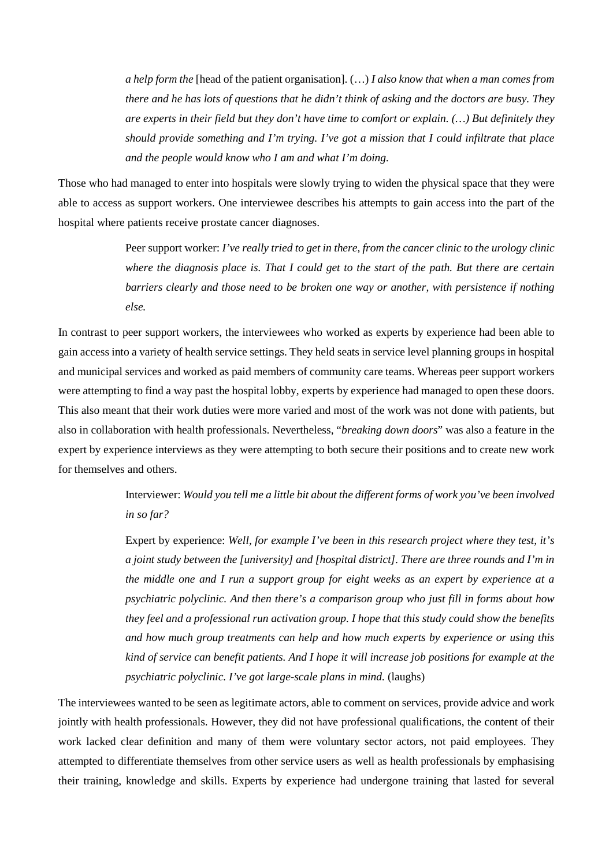*a help form the* [head of the patient organisation]. (…) *I also know that when a man comes from there and he has lots of questions that he didn't think of asking and the doctors are busy. They are experts in their field but they don't have time to comfort or explain. (…) But definitely they should provide something and I'm trying. I've got a mission that I could infiltrate that place and the people would know who I am and what I'm doing.* 

Those who had managed to enter into hospitals were slowly trying to widen the physical space that they were able to access as support workers. One interviewee describes his attempts to gain access into the part of the hospital where patients receive prostate cancer diagnoses.

> Peer support worker: *I've really tried to get in there, from the cancer clinic to the urology clinic where the diagnosis place is. That I could get to the start of the path. But there are certain barriers clearly and those need to be broken one way or another, with persistence if nothing else.*

In contrast to peer support workers, the interviewees who worked as experts by experience had been able to gain access into a variety of health service settings. They held seats in service level planning groups in hospital and municipal services and worked as paid members of community care teams. Whereas peer support workers were attempting to find a way past the hospital lobby, experts by experience had managed to open these doors. This also meant that their work duties were more varied and most of the work was not done with patients, but also in collaboration with health professionals. Nevertheless, "*breaking down doors*" was also a feature in the expert by experience interviews as they were attempting to both secure their positions and to create new work for themselves and others.

> Interviewer: *Would you tell me a little bit about the different forms of work you've been involved in so far?*

> Expert by experience: *Well, for example I've been in this research project where they test, it's a joint study between the [university] and [hospital district]. There are three rounds and I'm in the middle one and I run a support group for eight weeks as an expert by experience at a psychiatric polyclinic. And then there's a comparison group who just fill in forms about how they feel and a professional run activation group. I hope that this study could show the benefits and how much group treatments can help and how much experts by experience or using this kind of service can benefit patients. And I hope it will increase job positions for example at the psychiatric polyclinic. I've got large-scale plans in mind.* (laughs)

The interviewees wanted to be seen as legitimate actors, able to comment on services, provide advice and work jointly with health professionals. However, they did not have professional qualifications, the content of their work lacked clear definition and many of them were voluntary sector actors, not paid employees. They attempted to differentiate themselves from other service users as well as health professionals by emphasising their training, knowledge and skills. Experts by experience had undergone training that lasted for several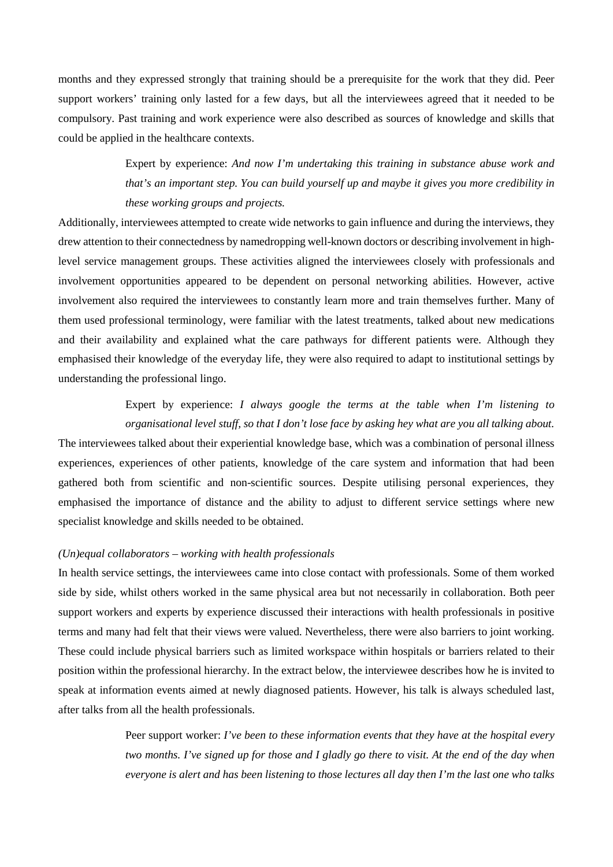months and they expressed strongly that training should be a prerequisite for the work that they did. Peer support workers' training only lasted for a few days, but all the interviewees agreed that it needed to be compulsory. Past training and work experience were also described as sources of knowledge and skills that could be applied in the healthcare contexts.

> Expert by experience: *And now I'm undertaking this training in substance abuse work and that's an important step. You can build yourself up and maybe it gives you more credibility in these working groups and projects.*

Additionally, interviewees attempted to create wide networks to gain influence and during the interviews, they drew attention to their connectedness by namedropping well-known doctors or describing involvement in highlevel service management groups. These activities aligned the interviewees closely with professionals and involvement opportunities appeared to be dependent on personal networking abilities. However, active involvement also required the interviewees to constantly learn more and train themselves further. Many of them used professional terminology, were familiar with the latest treatments, talked about new medications and their availability and explained what the care pathways for different patients were. Although they emphasised their knowledge of the everyday life, they were also required to adapt to institutional settings by understanding the professional lingo.

# Expert by experience: *I always google the terms at the table when I'm listening to organisational level stuff, so that I don't lose face by asking hey what are you all talking about.*

The interviewees talked about their experiential knowledge base, which was a combination of personal illness experiences, experiences of other patients, knowledge of the care system and information that had been gathered both from scientific and non-scientific sources. Despite utilising personal experiences, they emphasised the importance of distance and the ability to adjust to different service settings where new specialist knowledge and skills needed to be obtained.

#### *(Un)equal collaborators – working with health professionals*

In health service settings, the interviewees came into close contact with professionals. Some of them worked side by side, whilst others worked in the same physical area but not necessarily in collaboration. Both peer support workers and experts by experience discussed their interactions with health professionals in positive terms and many had felt that their views were valued. Nevertheless, there were also barriers to joint working. These could include physical barriers such as limited workspace within hospitals or barriers related to their position within the professional hierarchy. In the extract below, the interviewee describes how he is invited to speak at information events aimed at newly diagnosed patients. However, his talk is always scheduled last, after talks from all the health professionals.

> Peer support worker: *I've been to these information events that they have at the hospital every two months. I've signed up for those and I gladly go there to visit. At the end of the day when everyone is alert and has been listening to those lectures all day then I'm the last one who talks*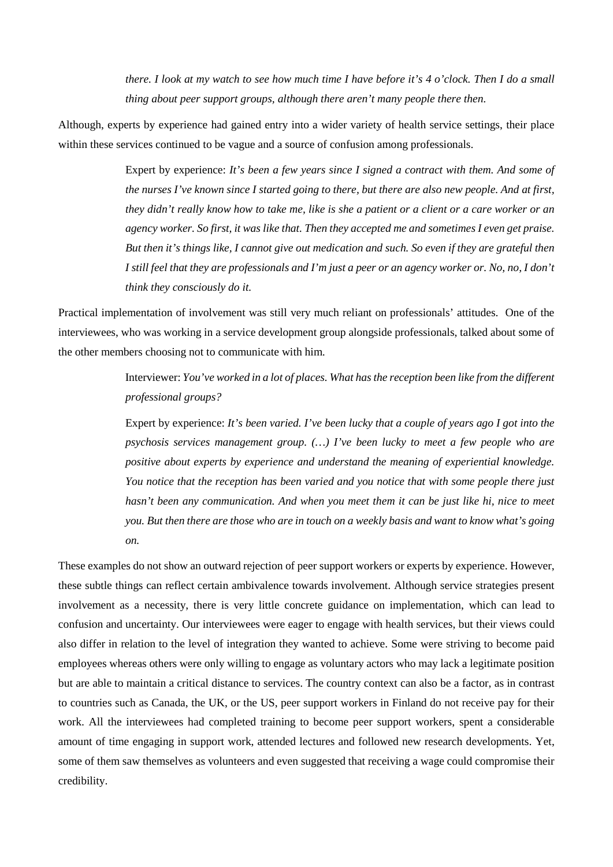*there. I look at my watch to see how much time I have before it's 4 o'clock. Then I do a small thing about peer support groups, although there aren't many people there then.* 

Although, experts by experience had gained entry into a wider variety of health service settings, their place within these services continued to be vague and a source of confusion among professionals.

> Expert by experience: *It's been a few years since I signed a contract with them. And some of the nurses I've known since I started going to there, but there are also new people. And at first, they didn't really know how to take me, like is she a patient or a client or a care worker or an agency worker. So first, it was like that. Then they accepted me and sometimes I even get praise. But then it's things like, I cannot give out medication and such. So even if they are grateful then I still feel that they are professionals and I'm just a peer or an agency worker or. No, no, I don't think they consciously do it.*

Practical implementation of involvement was still very much reliant on professionals' attitudes. One of the interviewees, who was working in a service development group alongside professionals, talked about some of the other members choosing not to communicate with him.

> Interviewer: *You've worked in a lot of places. What has the reception been like from the different professional groups?*

> Expert by experience: *It's been varied. I've been lucky that a couple of years ago I got into the psychosis services management group. (…) I've been lucky to meet a few people who are positive about experts by experience and understand the meaning of experiential knowledge. You notice that the reception has been varied and you notice that with some people there just hasn't been any communication. And when you meet them it can be just like hi, nice to meet you. But then there are those who are in touch on a weekly basis and want to know what's going on.*

These examples do not show an outward rejection of peer support workers or experts by experience. However, these subtle things can reflect certain ambivalence towards involvement. Although service strategies present involvement as a necessity, there is very little concrete guidance on implementation, which can lead to confusion and uncertainty. Our interviewees were eager to engage with health services, but their views could also differ in relation to the level of integration they wanted to achieve. Some were striving to become paid employees whereas others were only willing to engage as voluntary actors who may lack a legitimate position but are able to maintain a critical distance to services. The country context can also be a factor, as in contrast to countries such as Canada, the UK, or the US, peer support workers in Finland do not receive pay for their work. All the interviewees had completed training to become peer support workers, spent a considerable amount of time engaging in support work, attended lectures and followed new research developments. Yet, some of them saw themselves as volunteers and even suggested that receiving a wage could compromise their credibility.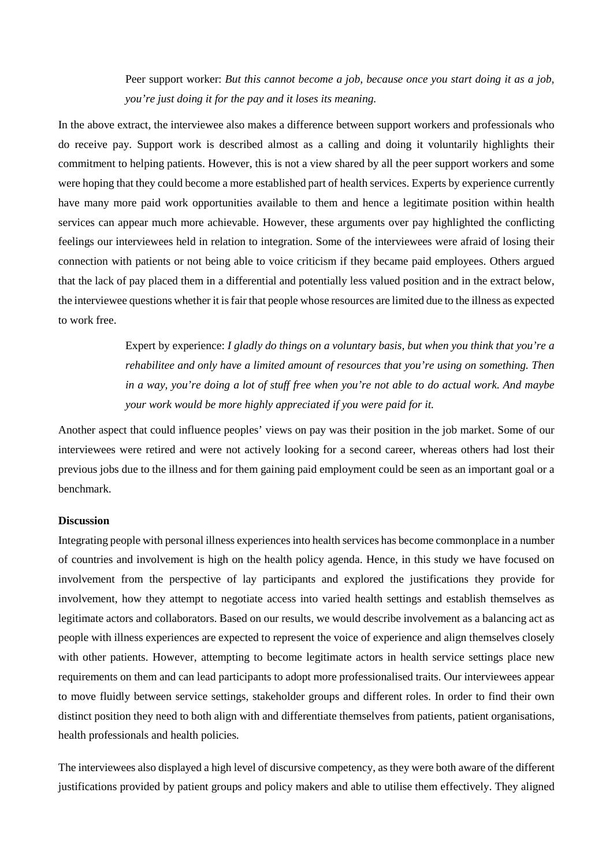Peer support worker: *But this cannot become a job, because once you start doing it as a job, you're just doing it for the pay and it loses its meaning.* 

In the above extract, the interviewee also makes a difference between support workers and professionals who do receive pay. Support work is described almost as a calling and doing it voluntarily highlights their commitment to helping patients. However, this is not a view shared by all the peer support workers and some were hoping that they could become a more established part of health services. Experts by experience currently have many more paid work opportunities available to them and hence a legitimate position within health services can appear much more achievable. However, these arguments over pay highlighted the conflicting feelings our interviewees held in relation to integration. Some of the interviewees were afraid of losing their connection with patients or not being able to voice criticism if they became paid employees. Others argued that the lack of pay placed them in a differential and potentially less valued position and in the extract below, the interviewee questions whether it is fair that people whose resources are limited due to the illness as expected to work free.

> Expert by experience: *I gladly do things on a voluntary basis, but when you think that you're a rehabilitee and only have a limited amount of resources that you're using on something. Then in a way, you're doing a lot of stuff free when you're not able to do actual work. And maybe your work would be more highly appreciated if you were paid for it.*

Another aspect that could influence peoples' views on pay was their position in the job market. Some of our interviewees were retired and were not actively looking for a second career, whereas others had lost their previous jobs due to the illness and for them gaining paid employment could be seen as an important goal or a benchmark.

# **Discussion**

Integrating people with personal illness experiences into health services has become commonplace in a number of countries and involvement is high on the health policy agenda. Hence, in this study we have focused on involvement from the perspective of lay participants and explored the justifications they provide for involvement, how they attempt to negotiate access into varied health settings and establish themselves as legitimate actors and collaborators. Based on our results, we would describe involvement as a balancing act as people with illness experiences are expected to represent the voice of experience and align themselves closely with other patients. However, attempting to become legitimate actors in health service settings place new requirements on them and can lead participants to adopt more professionalised traits. Our interviewees appear to move fluidly between service settings, stakeholder groups and different roles. In order to find their own distinct position they need to both align with and differentiate themselves from patients, patient organisations, health professionals and health policies.

The interviewees also displayed a high level of discursive competency, as they were both aware of the different justifications provided by patient groups and policy makers and able to utilise them effectively. They aligned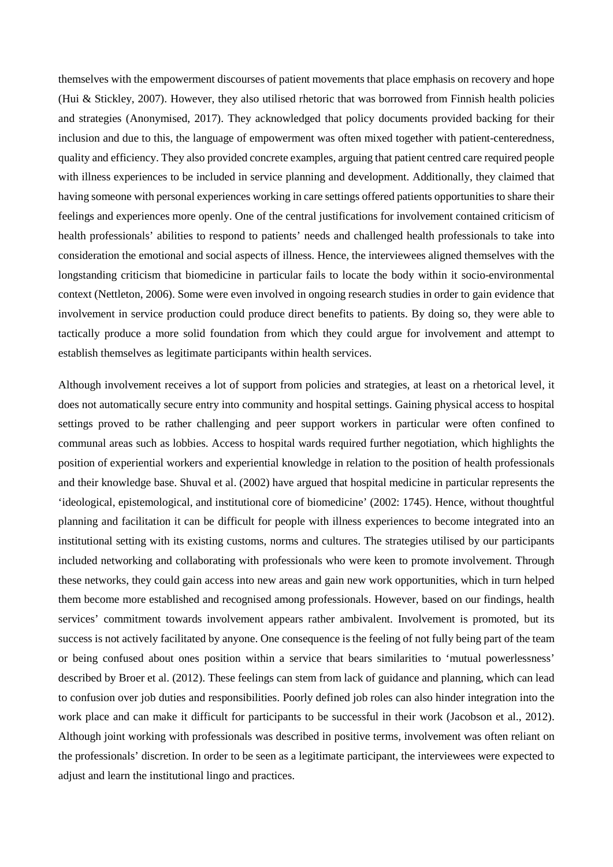themselves with the empowerment discourses of patient movements that place emphasis on recovery and hope (Hui & Stickley, 2007). However, they also utilised rhetoric that was borrowed from Finnish health policies and strategies (Anonymised, 2017). They acknowledged that policy documents provided backing for their inclusion and due to this, the language of empowerment was often mixed together with patient-centeredness, quality and efficiency. They also provided concrete examples, arguing that patient centred care required people with illness experiences to be included in service planning and development. Additionally, they claimed that having someone with personal experiences working in care settings offered patients opportunities to share their feelings and experiences more openly. One of the central justifications for involvement contained criticism of health professionals' abilities to respond to patients' needs and challenged health professionals to take into consideration the emotional and social aspects of illness. Hence, the interviewees aligned themselves with the longstanding criticism that biomedicine in particular fails to locate the body within it socio-environmental context (Nettleton, 2006). Some were even involved in ongoing research studies in order to gain evidence that involvement in service production could produce direct benefits to patients. By doing so, they were able to tactically produce a more solid foundation from which they could argue for involvement and attempt to establish themselves as legitimate participants within health services.

Although involvement receives a lot of support from policies and strategies, at least on a rhetorical level, it does not automatically secure entry into community and hospital settings. Gaining physical access to hospital settings proved to be rather challenging and peer support workers in particular were often confined to communal areas such as lobbies. Access to hospital wards required further negotiation, which highlights the position of experiential workers and experiential knowledge in relation to the position of health professionals and their knowledge base. Shuval et al. (2002) have argued that hospital medicine in particular represents the 'ideological, epistemological, and institutional core of biomedicine' (2002: 1745). Hence, without thoughtful planning and facilitation it can be difficult for people with illness experiences to become integrated into an institutional setting with its existing customs, norms and cultures. The strategies utilised by our participants included networking and collaborating with professionals who were keen to promote involvement. Through these networks, they could gain access into new areas and gain new work opportunities, which in turn helped them become more established and recognised among professionals. However, based on our findings, health services' commitment towards involvement appears rather ambivalent. Involvement is promoted, but its success is not actively facilitated by anyone. One consequence is the feeling of not fully being part of the team or being confused about ones position within a service that bears similarities to 'mutual powerlessness' described by Broer et al. (2012). These feelings can stem from lack of guidance and planning, which can lead to confusion over job duties and responsibilities. Poorly defined job roles can also hinder integration into the work place and can make it difficult for participants to be successful in their work (Jacobson et al., 2012). Although joint working with professionals was described in positive terms, involvement was often reliant on the professionals' discretion. In order to be seen as a legitimate participant, the interviewees were expected to adjust and learn the institutional lingo and practices.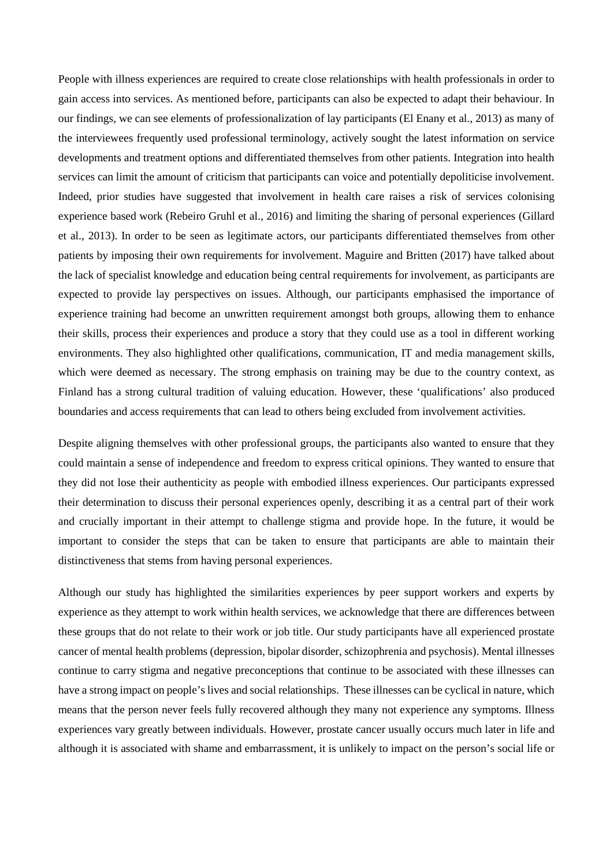People with illness experiences are required to create close relationships with health professionals in order to gain access into services. As mentioned before, participants can also be expected to adapt their behaviour. In our findings, we can see elements of professionalization of lay participants (El Enany et al., 2013) as many of the interviewees frequently used professional terminology, actively sought the latest information on service developments and treatment options and differentiated themselves from other patients. Integration into health services can limit the amount of criticism that participants can voice and potentially depoliticise involvement. Indeed, prior studies have suggested that involvement in health care raises a risk of services colonising experience based work (Rebeiro Gruhl et al., 2016) and limiting the sharing of personal experiences (Gillard et al., 2013). In order to be seen as legitimate actors, our participants differentiated themselves from other patients by imposing their own requirements for involvement. Maguire and Britten (2017) have talked about the lack of specialist knowledge and education being central requirements for involvement, as participants are expected to provide lay perspectives on issues. Although, our participants emphasised the importance of experience training had become an unwritten requirement amongst both groups, allowing them to enhance their skills, process their experiences and produce a story that they could use as a tool in different working environments. They also highlighted other qualifications, communication, IT and media management skills, which were deemed as necessary. The strong emphasis on training may be due to the country context, as Finland has a strong cultural tradition of valuing education. However, these 'qualifications' also produced boundaries and access requirements that can lead to others being excluded from involvement activities.

Despite aligning themselves with other professional groups, the participants also wanted to ensure that they could maintain a sense of independence and freedom to express critical opinions. They wanted to ensure that they did not lose their authenticity as people with embodied illness experiences. Our participants expressed their determination to discuss their personal experiences openly, describing it as a central part of their work and crucially important in their attempt to challenge stigma and provide hope. In the future, it would be important to consider the steps that can be taken to ensure that participants are able to maintain their distinctiveness that stems from having personal experiences.

Although our study has highlighted the similarities experiences by peer support workers and experts by experience as they attempt to work within health services, we acknowledge that there are differences between these groups that do not relate to their work or job title. Our study participants have all experienced prostate cancer of mental health problems (depression, bipolar disorder, schizophrenia and psychosis). Mental illnesses continue to carry stigma and negative preconceptions that continue to be associated with these illnesses can have a strong impact on people's lives and social relationships. These illnesses can be cyclical in nature, which means that the person never feels fully recovered although they many not experience any symptoms. Illness experiences vary greatly between individuals. However, prostate cancer usually occurs much later in life and although it is associated with shame and embarrassment, it is unlikely to impact on the person's social life or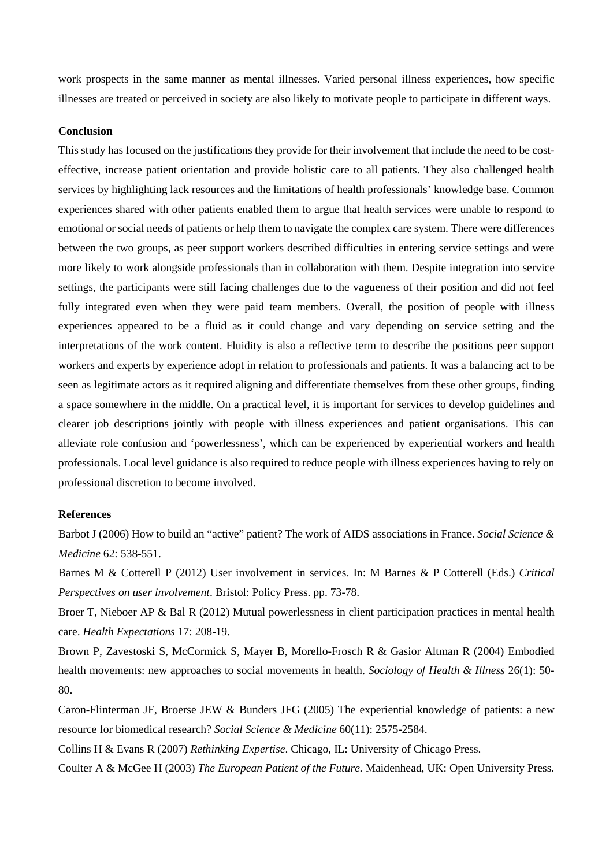work prospects in the same manner as mental illnesses. Varied personal illness experiences, how specific illnesses are treated or perceived in society are also likely to motivate people to participate in different ways.

## **Conclusion**

This study has focused on the justifications they provide for their involvement that include the need to be costeffective, increase patient orientation and provide holistic care to all patients. They also challenged health services by highlighting lack resources and the limitations of health professionals' knowledge base. Common experiences shared with other patients enabled them to argue that health services were unable to respond to emotional or social needs of patients or help them to navigate the complex care system. There were differences between the two groups, as peer support workers described difficulties in entering service settings and were more likely to work alongside professionals than in collaboration with them. Despite integration into service settings, the participants were still facing challenges due to the vagueness of their position and did not feel fully integrated even when they were paid team members. Overall, the position of people with illness experiences appeared to be a fluid as it could change and vary depending on service setting and the interpretations of the work content. Fluidity is also a reflective term to describe the positions peer support workers and experts by experience adopt in relation to professionals and patients. It was a balancing act to be seen as legitimate actors as it required aligning and differentiate themselves from these other groups, finding a space somewhere in the middle. On a practical level, it is important for services to develop guidelines and clearer job descriptions jointly with people with illness experiences and patient organisations. This can alleviate role confusion and 'powerlessness', which can be experienced by experiential workers and health professionals. Local level guidance is also required to reduce people with illness experiences having to rely on professional discretion to become involved.

### **References**

Barbot J (2006) How to build an "active" patient? The work of AIDS associations in France. *Social Science & Medicine* 62: 538-551.

Barnes M & Cotterell P (2012) User involvement in services. In: M Barnes & P Cotterell (Eds.) *Critical Perspectives on user involvement*. Bristol: Policy Press. pp. 73-78.

Broer T, Nieboer AP & Bal R (2012) Mutual powerlessness in client participation practices in mental health care. *Health Expectations* 17: 208-19.

Brown P, Zavestoski S, McCormick S, Mayer B, Morello-Frosch R & Gasior Altman R (2004) Embodied health movements: new approaches to social movements in health. *Sociology of Health & Illness* 26(1): 50- 80.

Caron-Flinterman JF, Broerse JEW & Bunders JFG (2005) The experiential knowledge of patients: a new resource for biomedical research? *Social Science & Medicine* 60(11): 2575-2584.

Collins H & Evans R (2007) *Rethinking Expertise*. Chicago, IL: University of Chicago Press.

Coulter A & McGee H (2003) *The European Patient of the Future.* Maidenhead, UK: Open University Press.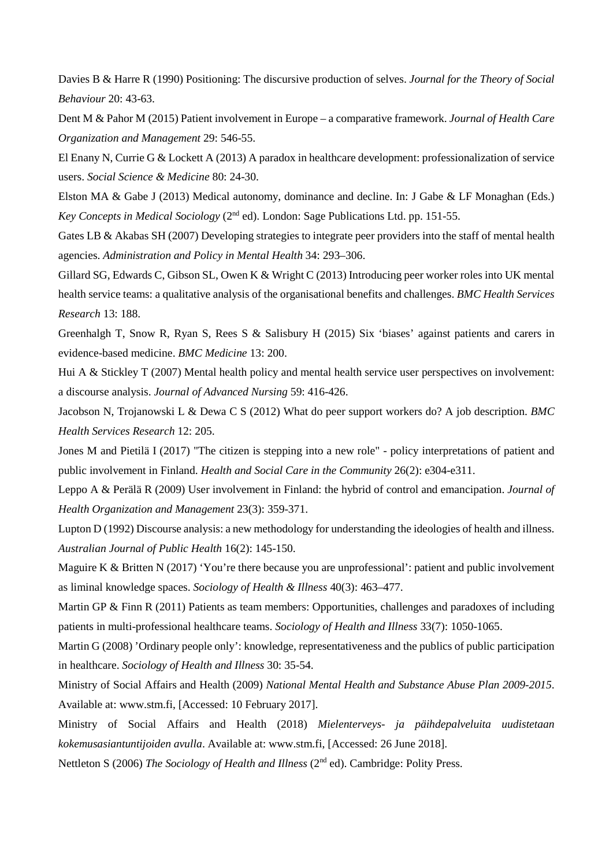Davies B & Harre R (1990) Positioning: The discursive production of selves. *Journal for the Theory of Social Behaviour* 20: 43-63.

Dent M & Pahor M (2015) Patient involvement in Europe – a comparative framework. *Journal of Health Care Organization and Management* 29: 546-55.

El Enany N, Currie G & Lockett A (2013) A paradox in healthcare development: professionalization of service users. *Social Science & Medicine* 80: 24-30.

Elston MA & Gabe J (2013) Medical autonomy, dominance and decline. In: J Gabe & LF Monaghan (Eds.) *Key Concepts in Medical Sociology* (2nd ed). London: Sage Publications Ltd. pp. 151-55.

Gates LB & Akabas SH (2007) Developing strategies to integrate peer providers into the staff of mental health agencies. *Administration and Policy in Mental Health* 34: 293–306.

Gillard SG, Edwards C, Gibson SL, Owen K & Wright C (2013) Introducing peer worker roles into UK mental health service teams: a qualitative analysis of the organisational benefits and challenges. *BMC Health Services Research* 13: 188.

Greenhalgh T, Snow R, Ryan S, Rees S & Salisbury H (2015) Six 'biases' against patients and carers in evidence-based medicine. *BMC Medicine* 13: 200.

Hui A & Stickley T (2007) Mental health policy and mental health service user perspectives on involvement: a discourse analysis. *Journal of Advanced Nursing* 59: 416-426.

Jacobson N, Trojanowski L & Dewa C S (2012) What do peer support workers do? A job description. *BMC Health Services Research* 12: 205.

Jones M and Pietilä I (2017) "The citizen is stepping into a new role" - policy interpretations of patient and public involvement in Finland. *Health and Social Care in the Community* 26(2): e304-e311.

Leppo A & Perälä R (2009) User involvement in Finland: the hybrid of control and emancipation. *Journal of Health Organization and Management* 23(3): 359-371.

Lupton D (1992) Discourse analysis: a new methodology for understanding the ideologies of health and illness. *Australian Journal of Public Health* 16(2): 145-150.

Maguire K & Britten N (2017) 'You're there because you are unprofessional': patient and public involvement as liminal knowledge spaces. *Sociology of Health & Illness* 40(3): 463–477.

Martin GP & Finn R (2011) Patients as team members: Opportunities, challenges and paradoxes of including patients in multi-professional healthcare teams. *Sociology of Health and Illness* 33(7): 1050-1065.

Martin G (2008) 'Ordinary people only': knowledge, representativeness and the publics of public participation in healthcare. *Sociology of Health and Illness* 30: 35-54.

Ministry of Social Affairs and Health (2009) *National Mental Health and Substance Abuse Plan 2009-2015*. Available at: www.stm.fi, [Accessed: 10 February 2017].

Ministry of Social Affairs and Health (2018) *Mielenterveys- ja päihdepalveluita uudistetaan kokemusasiantuntijoiden avulla*. Available at: [www.stm.fi,](http://www.stm.fi/) [Accessed: 26 June 2018].

Nettleton S (2006) *The Sociology of Health and Illness* (2nd ed). Cambridge: Polity Press.